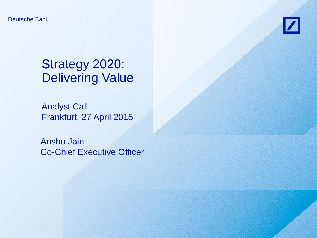Deutsche Bank



# Strategy 2020: Delivering Value

Analyst Call Frankfurt, 27 April 2015

Anshu Jain Co-Chief Executive Officer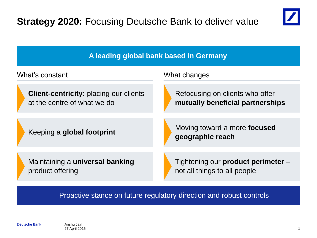



Proactive stance on future regulatory direction and robust controls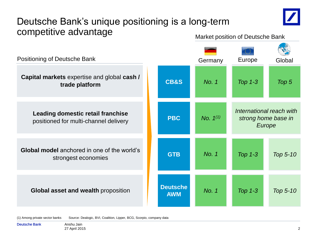# Deutsche Bank's unique positioning is a long-term competitive advantage<br>
Market position of Deutsche Bank



**Global model** anchored in one of the world's strongest economies **Leading domestic retail franchise**  positioned for multi-channel delivery **CB&S GTB Deutsche AWM PBC** Positioning of Deutsche Bank *Top 5 International reach with strong home base in Europe Top 5-10 Top 1-3 Top 1-3 Top 1-3 Top 5-10 No. 1 No. 1 No. 1 No. 1(1)* Germany Europe Global **Capital markets** expertise and global **cash / trade platform Global asset and wealth** proposition

(1) Among private sector banks Source: Dealogic, BVI, Coalition, Lipper, BCG, Scorpio, company data

Deutsche Bank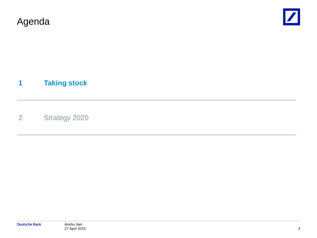Agenda



#### **1 Taking stock**

2 Strategy 2020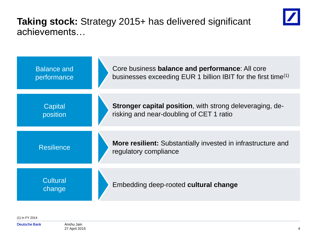### **Taking stock:** Strategy 2015+ has delivered significant achievements…





(1) In FY 2014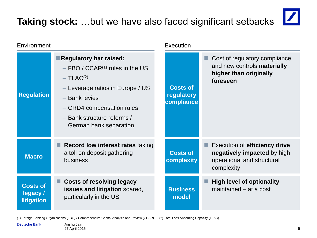# **Taking stock:** …but we have also faced significant setbacks



| Environment                                     |                                                                                                                                                                                                                                    | Execution                                   |                                                                                                          |  |
|-------------------------------------------------|------------------------------------------------------------------------------------------------------------------------------------------------------------------------------------------------------------------------------------|---------------------------------------------|----------------------------------------------------------------------------------------------------------|--|
| <b>Regulation</b>                               | Regulatory bar raised:<br>FBO / $CCAR^{(1)}$ rules in the US<br>$-$ TLAC <sup>(2)</sup><br>Leverage ratios in Europe / US<br><b>Bank levies</b><br>- CRD4 compensation rules<br>Bank structure reforms /<br>German bank separation | <b>Costs of</b><br>regulatory<br>compliance | Cost of regulatory compliance<br>and new controls materially<br>higher than originally<br>foreseen       |  |
| <b>Macro</b>                                    | <b>Record low interest rates taking</b><br>a toll on deposit gathering<br>business                                                                                                                                                 | <b>Costs of</b><br>complexity               | Execution of efficiency drive<br>negatively impacted by high<br>operational and structural<br>complexity |  |
| <b>Costs of</b><br>legacy/<br><b>litigation</b> | <b>Costs of resolving legacy</b><br>issues and litigation soared,<br>particularly in the US                                                                                                                                        | <b>Business</b><br>model                    | <b>High level of optionality</b><br>maintained – at a cost                                               |  |

(1) Foreign Banking Organizations (FBO) / Comprehensive Capital Analysis and Review (CCAR) (2) Total Loss Absorbing Capacity (TLAC)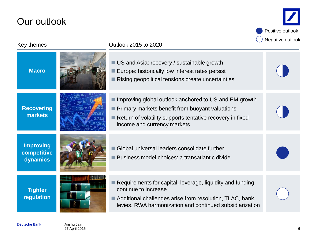### Our outlook

Positive outlook  $\bigcap$  Negative outlook

| Key themes                                  | Outlook 2015 to 2020                                                                                                                                                                                                    | <b>Negative outlook</b> |
|---------------------------------------------|-------------------------------------------------------------------------------------------------------------------------------------------------------------------------------------------------------------------------|-------------------------|
| <b>Macro</b>                                | ■ US and Asia: recovery / sustainable growth<br>Europe: historically low interest rates persist<br>Rising geopolitical tensions create uncertainties                                                                    |                         |
| <b>Recovering</b><br>markets                | ■ Improving global outlook anchored to US and EM growth<br><b>Primary markets benefit from buoyant valuations</b><br>Return of volatility supports tentative recovery in fixed<br>income and currency markets           |                         |
| <b>Improving</b><br>competitive<br>dynamics | Global universal leaders consolidate further<br>Business model choices: a transatlantic divide                                                                                                                          |                         |
| <b>Tighter</b><br>regulation                | $\blacksquare$ Requirements for capital, leverage, liquidity and funding<br>continue to increase<br>Additional challenges arise from resolution, TLAC, bank<br>levies, RWA harmonization and continued subsidiarization |                         |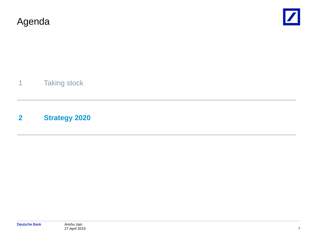



1 Taking stock

#### **2 Strategy 2020**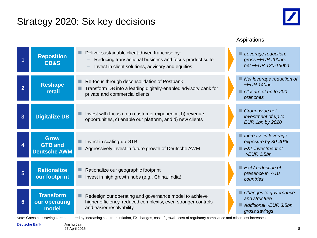#### Strategy 2020: Six key decisions



#### Aspirations

|                | <b>Reposition</b><br><b>CB&amp;S</b>                 | Deliver sustainable client-driven franchise by:<br>Reducing transactional business and focus product suite<br>Invest in client solutions, advisory and equities | Leverage reduction:<br>gross ~EUR 200bn,<br>net ~EUR 130-150bn                           |
|----------------|------------------------------------------------------|-----------------------------------------------------------------------------------------------------------------------------------------------------------------|------------------------------------------------------------------------------------------|
| $\overline{2}$ | <b>Reshape</b><br>retail                             | Re-focus through deconsolidation of Postbank<br>Transform DB into a leading digitally-enabled advisory bank for<br>private and commercial clients               | Net leverage reduction of<br>$\sim$ EUR 140bn<br>Closure of up to 200<br><b>branches</b> |
| $\overline{3}$ | <b>Digitalize DB</b>                                 | Invest with focus on a) customer experience, b) revenue<br>opportunities, c) enable our platform, and d) new clients                                            | Group-wide net<br>investment of up to<br><b>EUR 1bn by 2020</b>                          |
| 4              | <b>Grow</b><br><b>GTB and</b><br><b>Deutsche AWM</b> | Invest in scaling-up GTB<br>Aggressively invest in future growth of Deutsche AWM                                                                                | Increase in leverage<br>exposure by 30-40%<br>P&L investment of<br>$>EUR$ 1.5bn          |
| 5              | <b>Rationalize</b><br>our footprint                  | Rationalize our geographic footprint<br>Invest in high growth hubs (e.g., China, India)                                                                         | Exit / reduction of<br>presence in 7-10<br>countries                                     |
| $6\phantom{1}$ | <b>Transform</b><br>our operating<br>model           | Redesign our operating and governance model to achieve<br>higher efficiency, reduced complexity, even stronger controls<br>and easier resolvability             | Changes to governance<br>and structure<br>Additional ~EUR 3.5bn<br>gross savings         |

Note: Gross cost savings are countered by increasing cost from inflation, FX changes, cost of growth, cost of regulatory compliance and other cost increases

Deutsche Bank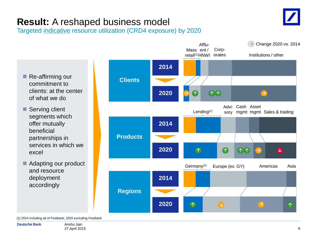

# **Result:** A reshaped business model

Targeted indicative resource utilization (CRD4 exposure) by 2020

- Re-affirming our commitment to clients: at the center of what we do
- Serving client segments which offer mutually beneficial partnerships in services in which we excel
- Adapting our product and resource deployment accordingly



(1) 2014 including all of Postbank; 2020 excluding Postbank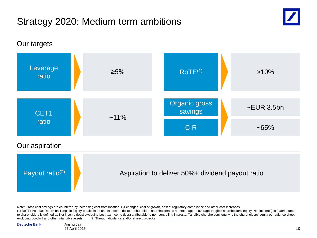## Strategy 2020: Medium term ambitions





Note: Gross cost savings are countered by increasing cost from inflation, FX changes, cost of growth, cost of regulatory compliance and other cost increases

(1) RoTE: Post-tax Return on Tangible Equity is calculated as net income (loss) attributable to shareholders as a percentage of average tangible shareholders' equity. Net income (loss) attributable to shareholders is defined as Net income (loss) excluding post-tax income (loss) attributable to non-controlling interests. Tangible shareholders' equity is the shareholders' equity per balance sheet excluding goodwill and other intangible assets (2) Through dividends and/or share buybacks

Deutsche Bank

Anshu Jain 27 April 2015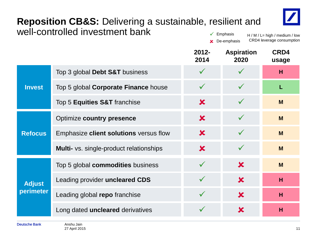#### **Reposition CB&S:** Delivering a sustainable, resilient and well-controlled investment bank  $\checkmark$  Emphasis



H / M / L= high / medium / low CRD4 leverage consumption **x** De-emphasis

|                            |                                                | $2012 -$<br>2014 | <b>Aspiration</b><br>2020 | CRD4<br>usage |
|----------------------------|------------------------------------------------|------------------|---------------------------|---------------|
| <b>Invest</b>              | Top 3 global Debt S&T business                 | $\checkmark$     |                           | H             |
|                            | Top 5 global <b>Corporate Finance</b> house    | $\checkmark$     |                           | L             |
|                            | Top 5 Equities S&T franchise                   | $\bm{x}$         |                           | M             |
| <b>Refocus</b>             | Optimize country presence                      | $\bm{x}$         |                           | M             |
|                            | Emphasize client solutions versus flow         | $\bm{x}$         | $\checkmark$              | M             |
|                            | <b>Multi-</b> vs. single-product relationships | $\bm{x}$         | $\checkmark$              | M             |
| <b>Adjust</b><br>perimeter | Top 5 global commodities business              | $\checkmark$     | $\bm{x}$                  | M             |
|                            | Leading provider uncleared CDS                 | $\checkmark$     | $\mathbf x$               | H             |
|                            | Leading global repo franchise                  | $\checkmark$     | $\bm{x}$                  | H             |
|                            | Long dated <b>uncleared</b> derivatives        | $\checkmark$     | $\boldsymbol{\mathsf{x}}$ | н             |
|                            |                                                |                  |                           |               |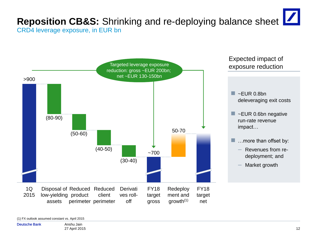#### **Reposition CB&S:** Shrinking and re-deploying balance sheet  $\boxed{\phantom{a}}$ CRD4 leverage exposure, in EUR bn



(1) FX outlook assumed constant vs. April 2015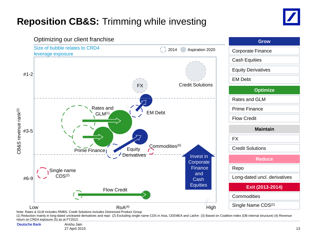# **Reposition CB&S:** Trimming while investing





Note: Rates & GLM includes RMBS, Credit Solutions includes Distressed Product Group

(1) Reduction mainly in long-dated uncleared derivatives and repo (2) Excluding single name CDS in Asia, CEEMEA and LatAm (3) Based on Coalition index (DB internal structure) (4) Revenue return on CRD4 exposure (5) as at FY2013

Deutsche Bank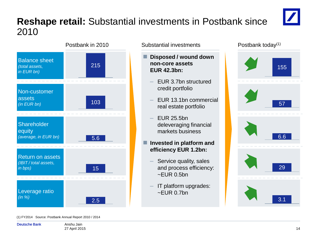## **Reshape retail:** Substantial investments in Postbank since 2010



- **Disposed / wound down non-core assets EUR 42.3bn:**
	- ‒ EUR 3.7bn structured credit portfolio
	- ‒ EUR 13.1bn commercial real estate portfolio
	- ‒ EUR 25.5bn deleveraging financial markets business

#### **Invested in platform and efficiency EUR 1.2bn:**

- Service quality, sales and process efficiency:  $\sim$ EUR 0.5bn
- ‒ IT platform upgrades:  $~\sim$ FUR 0.7bn



#### (1) FY2014 Source: Postbank Annual Report 2010 / 2014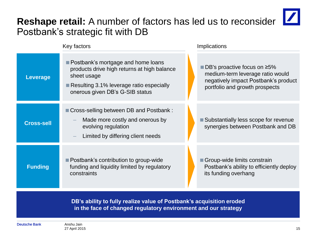#### **Reshape retail:** A number of factors has led us to reconsider Postbank's strategic fit with DB



**DB's ability to fully realize value of Postbank's acquisition eroded in the face of changed regulatory environment and our strategy**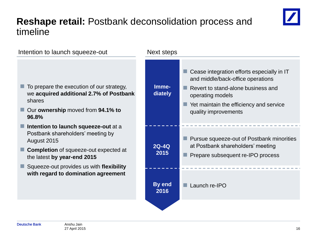### **Reshape retail:** Postbank deconsolidation process and timeline



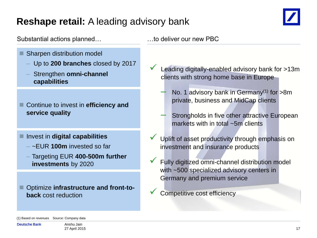## **Reshape retail:** A leading advisory bank



#### Substantial actions planned... Substantial actions planned...

- 2016-2020<br>2020 Sharpen distribution model
	- ‒ Up to **200 branches** closed by 2017
	- ‒ Strengthen **omni-channel capabilities**

 Continue to invest in **efficiency and service quality**

#### ■ Invest in **digital capabilities**

- ‒ ~EUR **100m** invested so far
- ‒ Targeting EUR **400-500m further investments** by 2020

 Optimize **infrastructure and front-toback** cost reduction

- Leading digitally-enabled advisory bank for >13m clients with strong home base in Europe
	- No. 1 advisory bank in Germany<sup>(1)</sup> for  $>8m$ private, business and MidCap clients
	- Strongholds in five other attractive European markets with in total ~5m clients
- Uplift of asset productivity through emphasis on investment and insurance products
- Fully digitized omni-channel distribution model with ~500 specialized advisory centers in Germany and premium service
	- Competitive cost efficiency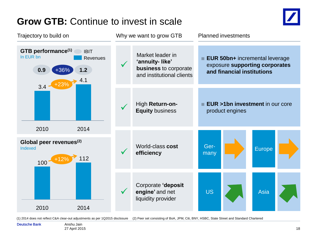## **Grow GTB:** Continue to invest in scale



Market leader in **'annuity- like' business** to corporate and institutional clients  $\checkmark$ Corporate **'deposit engine'** and net liquidity provider  $\checkmark$ High **Return-on- Equity** business World-class **cost efficiency** Why we want to grow GTB Planned investments **EUR 50bn+** incremental leverage exposure **supporting corporates and financial institutions** ■ **EUR >1bn investment** in our core product engines Trajectory to build on **GTB performance(1)** In EUR bn 2014 4.1 2010  $3.4 \cdot$ **0.9 1.2** +36% +12% 112 100 2010 2014 **Global peer revenues(2)** Indexed IBIT **Revenues**  $+23%$ Germany Europe US **Asia** 

(1) 2014 does not reflect C&A clear-out adjustments as per 1Q2015 disclosure (2) Peer set consisting of BoA, JPM, Citi, BNY, HSBC, State Street and Standard Chartered

#### Deutsche Bank

Anshu Jain 27 April 2015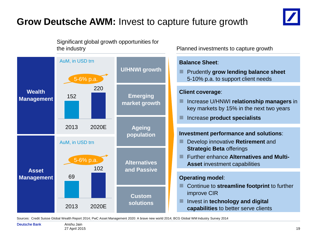# **Grow Deutsche AWM:** Invest to capture future growth



Significant global growth opportunities for the industry Planned investments to capture growth



Sources: Credit Suisse Global Wealth Report 2014; PwC Asset Management 2020: A brave new world 2014; BCG Global WM Industry Survey 2014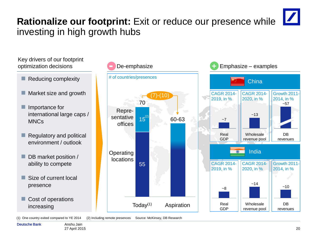# **Rationalize our footprint:** Exit or reduce our presence while investing in high growth hubs

Key drivers of our footprint optimization decisions **De-emphasize** 

- Reducing complexity
- Market size and growth
- Importance for international large caps / MNCs
- Regulatory and political environment / outlook
- DB market position / ability to compete
- Size of current local presence
- Cost of operations increasing



(1) One country exited compared to YE 2014 (2) Including remote presences Source: McKinsey, DB Research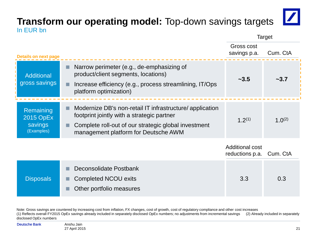#### **Transform our operating model:** Top-down savings targets In EUR bn



Target

| <b>Details on next page</b>                     |                                                                                                                                                                                                       | Gross cost<br>savings p.a.                | Cum. CtA    |
|-------------------------------------------------|-------------------------------------------------------------------------------------------------------------------------------------------------------------------------------------------------------|-------------------------------------------|-------------|
| Additional<br>gross savings                     | Narrow perimeter (e.g., de-emphasizing of<br>product/client segments, locations)<br>Increase efficiency (e.g., process streamlining, IT/Ops<br>platform optimization)                                 | ~23.5                                     | ~2.7        |
| Remaining<br>2015 OpEx<br>savings<br>(Examples) | Modernize DB's non-retail IT infrastructure/application<br>footprint jointly with a strategic partner<br>Complete roll-out of our strategic global investment<br>management platform for Deutsche AWM | $1.2^{(1)}$                               | $1.0^{(2)}$ |
|                                                 |                                                                                                                                                                                                       | <b>Additional cost</b><br>reductions p.a. | Cum. CtA    |
| <b>Disposals</b>                                | Deconsolidate Postbank<br><b>Completed NCOU exits</b><br>Other portfolio measures                                                                                                                     | 3.3                                       | 0.3         |

Note: Gross savings are countered by increasing cost from inflation, FX changes, cost of growth, cost of regulatory compliance and other cost increases (1) Reflects overall FY2015 OpEx savings already included in separately disclosed OpEx numbers; no adjustments from incremental savings (2) Already included in separately disclosed OpEx numbers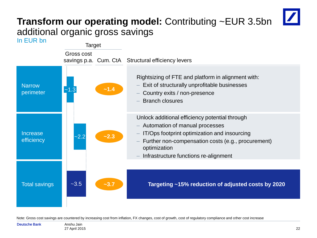# **Transform our operating model:** Contributing ~EUR 3.5bn additional organic gross savings



Note: Gross cost savings are countered by increasing cost from inflation, FX changes, cost of growth, cost of regulatory compliance and other cost increase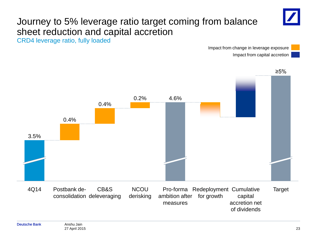

# Journey to 5% leverage ratio target coming from balance sheet reduction and capital accretion

CRD4 leverage ratio, fully loaded

Impact from change in leverage exposure Impact from capital accretion



≥5%

consolidation deleveraging

**NCOU** derisking

Target Pro-forma Redeployment Cumulative capital accretion net of dividends ambition after for growth measures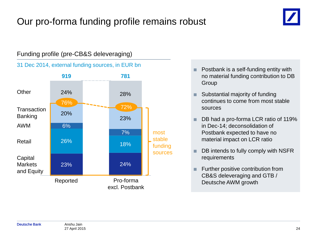# Our pro-forma funding profile remains robust



#### Funding profile (pre-CB&S deleveraging)

31 Dec 2014, external funding sources, in EUR bn



- Postbank is a self-funding entity with no material funding contribution to DB Group
- Substantial majority of funding continues to come from most stable sources
- DB had a pro-forma LCR ratio of 119% in Dec-14; deconsolidation of Postbank expected to have no material impact on LCR ratio
- DB intends to fully comply with NSFR requirements
- Further positive contribution from CB&S deleveraging and GTB / Deutsche AWM growth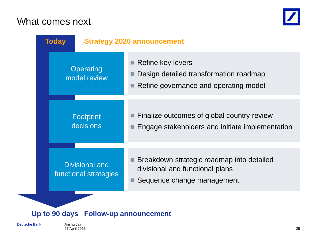#### What comes next





#### **Up to 90 days Follow-up announcement**

Deutsche Bank

Anshu Jain 27 April 2015